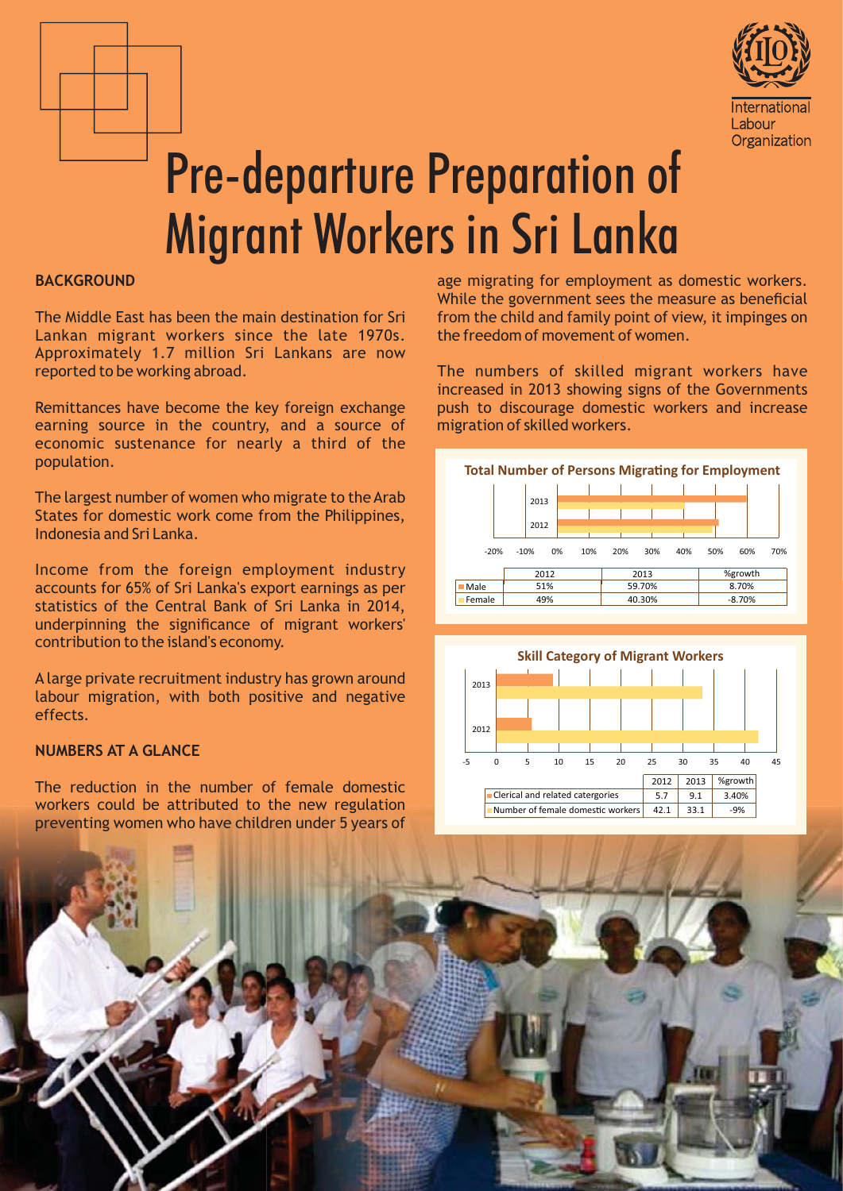



# **Pre-departure Preparation of Migrant Workers in Sri Lanka**

## **BACKGROUND**

The Middle East has been the main destination for Sri Lankan migrant workers since the late 1970s. Approximately 1.7 million Sri Lankans are now reported to be working abroad.

Remittances have become the key foreign exchange earning source in the country, and a source of economic sustenance for nearly a third of the population.

The largest number of women who migrate to the Arab States for domestic work come from the Philippines, Indonesia and Sri Lanka.

Income from the foreign employment industry accounts for 65% of Sri Lanka's export earnings as per statistics of the Central Bank of Sri Lanka in 2014, underpinning the significance of migrant workers' contribution to the island's economy.

A large private recruitment industry has grown around labour migration, with both positive and negative effects.

## **NUMBERS AT A GLANCE**

The reduction in the number of female domestic workers could be attributed to the new regulation preventing women who have children under 5 years of age migrating for employment as domestic workers. While the government sees the measure as beneficial from the child and family point of view, it impinges on the freedom of movement of women

The numbers of skilled migrant workers have increased in 2013 showing signs of the Governments push to discourage domestic workers and increase migration of skilled workers.





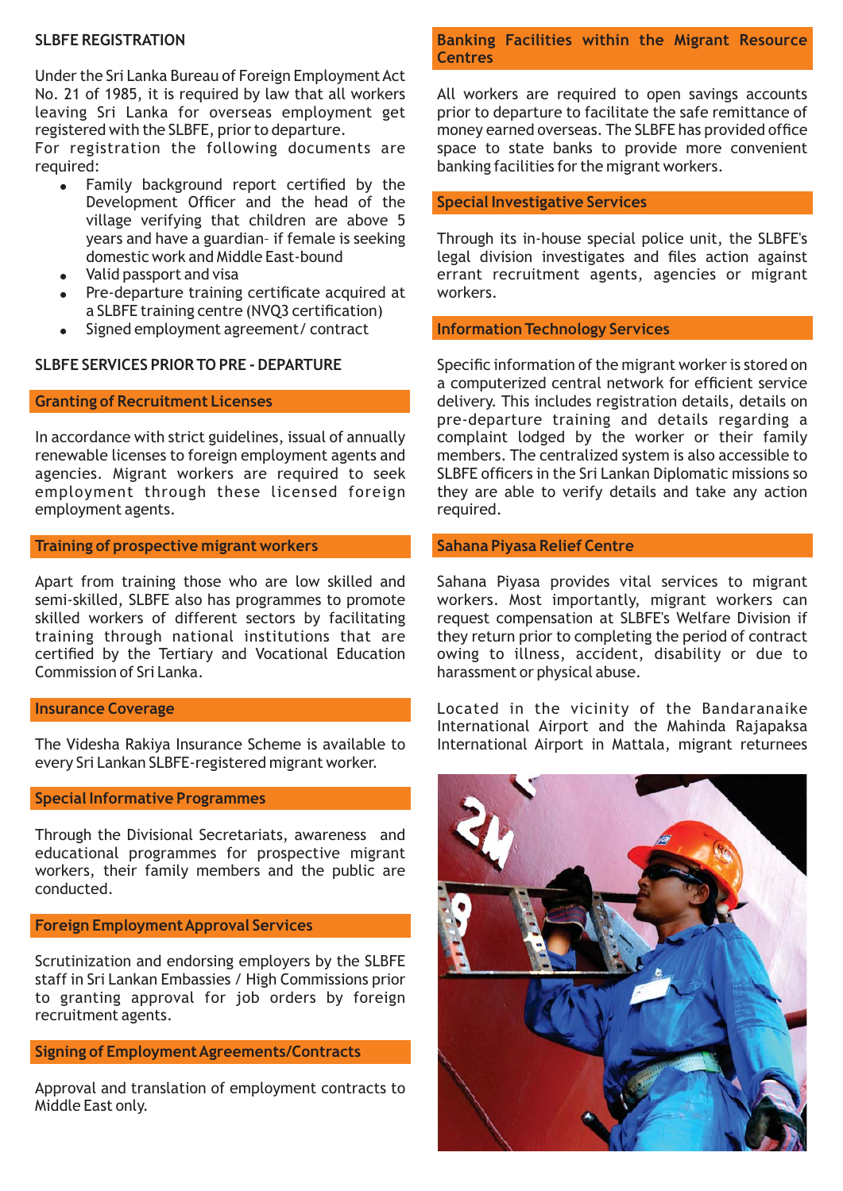## **SLBFE REGISTRATION**

Under the Sri Lanka Bureau of Foreign Employment Act No. 21 of 1985, it is required by law that all workers leaving Sri Lanka for overseas employment get registered with the SLBFE, prior to departure.

For registration the following documents are required:

- Family background report certified by the  $\bullet$ Development Officer and the head of the village verifying that children are above 5 years and have a guardian- if female is seeking domestic work and Middle East-bound
- Valid passport and visa  $\bullet$
- $\bullet$ Pre-departure training certificate acquired at a SLBFE training centre (NVQ3 certification)
- Signed employment agreement/contract

## **SLBFE SERVICES PRIOR TO PRE - DEPARTURE**

#### **Granting of Recruitment Licenses**

In accordance with strict guidelines, issual of annually renewable licenses to foreign employment agents and agencies. Migrant workers are required to seek employment through these licensed foreign employment agents.

## **Training of prospective migrant workers**

Apart from training those who are low skilled and semi-skilled, SLBFE also has programmes to promote skilled workers of different sectors by facilitating training through national institutions that are certified by the Tertiary and Vocational Education Commission of Sri Lanka.

#### **Insurance Coverage**

The Videsha Rakiya Insurance Scheme is available to every Sri Lankan SLBFE-registered migrant worker.

#### **Special Informative Programmes**

Through the Divisional Secretariats, awareness and educational programmes for prospective migrant workers, their family members and the public are conducted.

## **Foreign Employment Approval Services**

Scrutinization and endorsing employers by the SLBFE staff in Sri Lankan Embassies / High Commissions prior to granting approval for job orders by foreign recruitment agents.

## **Signing of Employment Agreements/Contracts**

Approval and translation of employment contracts to Middle East only.

## Banking Facilities within the Migrant Resource **Centres**

All workers are required to open savings accounts prior to departure to facilitate the safe remittance of money earned overseas. The SLBFE has provided office space to state banks to provide more convenient banking facilities for the migrant workers.

#### **Special Investigative Services**

Through its in-house special police unit, the SLBFE's legal division investigates and files action against errant recruitment agents, agencies or migrant workers

#### **Information Technology Services**

Specific information of the migrant worker is stored on a computerized central network for efficient service delivery. This includes registration details, details on pre-departure training and details regarding a complaint lodged by the worker or their family members. The centralized system is also accessible to SLBFE officers in the Sri Lankan Diplomatic missions so they are able to verify details and take any action required.

#### **Sahana Piyasa Relief Centre**

Sahana Piyasa provides vital services to migrant workers. Most importantly, migrant workers can request compensation at SLBFE's Welfare Division if they return prior to completing the period of contract owing to illness, accident, disability or due to harassment or physical abuse.

Located in the vicinity of the Bandaranaike International Airport and the Mahinda Rajapaksa International Airport in Mattala, migrant returnees

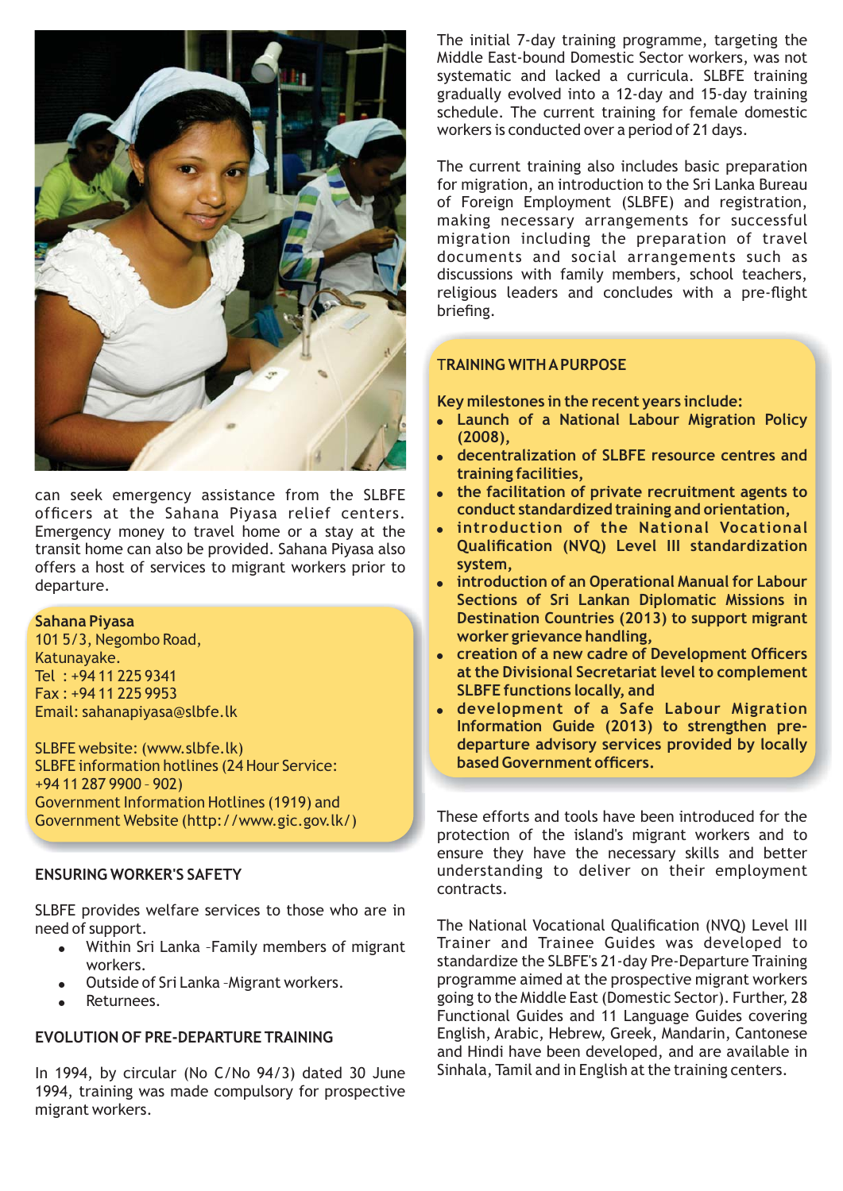

can seek emergency assistance from the SLBFE officers at the Sahana Piyasa relief centers. Emergency money to travel home or a stay at the transit home can also be provided. Sahana Piyasa also offers a host of services to migrant workers prior to departure.

#### Sahana Pivasa

101 5/3, Negombo Road, Katunayake. Tel  $\cdot$  +94 11 225 9341 Fax: +94 11 225 9953 Email: sahanapiyasa@slbfe.lk

SLBFE website: (www.slbfe.lk) **SLBFE information hotlines (24 Hour Service:**  $+94112879900 - 902$ Government Information Hotlines (1919) and Government Website (http://www.gic.gov.lk/)

# **ENSURING WORKER'S SAFETY**

SLBFE provides welfare services to those who are in need of support.

- Within Sri Lanka Family members of migrant workers.
- Outside of Sri Lanka Migrant workers.
- Returnees.

# **EVOLUTION OF PRE-DEPARTURE TRAINING**

In 1994, by circular (No C/No 94/3) dated 30 June 1994, training was made compulsory for prospective migrant workers.

The initial 7-day training programme, targeting the Middle East-bound Domestic Sector workers, was not systematic and lacked a curricula. SLBFE training gradually evolved into a 12-day and 15-day training schedule. The current training for female domestic workers is conducted over a period of 21 days.

The current training also includes basic preparation for migration, an introduction to the Sri Lanka Bureau of Foreign Employment (SLBFE) and registration, making necessary arrangements for successful migration including the preparation of travel documents and social arrangements such as discussions with family members, school teachers, religious leaders and concludes with a pre-flight briefing.

## **TRAINING WITH A PURPOSE**

Key milestones in the recent years include:

- Launch of a National Labour Migration Policy  $(2008).$
- decentralization of SLBFE resource centres and training facilities.
- the facilitation of private recruitment agents to conduct standardized training and orientation,
- . introduction of the National Vocational Qualification (NVQ) Level III standardization system.
- introduction of an Operational Manual for Labour Sections of Sri Lankan Diplomatic Missions in Destination Countries (2013) to support migrant worker grievance handling,
- creation of a new cadre of Development Officers at the Divisional Secretariat level to complement **SLBFE functions locally, and**
- · development of a Safe Labour Migration Information Guide (2013) to strengthen predeparture advisory services provided by locally based Government officers.

These efforts and tools have been introduced for the protection of the island's migrant workers and to ensure they have the necessary skills and better understanding to deliver on their employment contracts.

The National Vocational Qualification (NVQ) Level III Trainer and Trainee Guides was developed to standardize the SLBFE's 21-day Pre-Departure Training programme aimed at the prospective migrant workers going to the Middle East (Domestic Sector). Further, 28 Functional Guides and 11 Language Guides covering English, Arabic, Hebrew, Greek, Mandarin, Cantonese and Hindi have been developed, and are available in Sinhala, Tamil and in English at the training centers.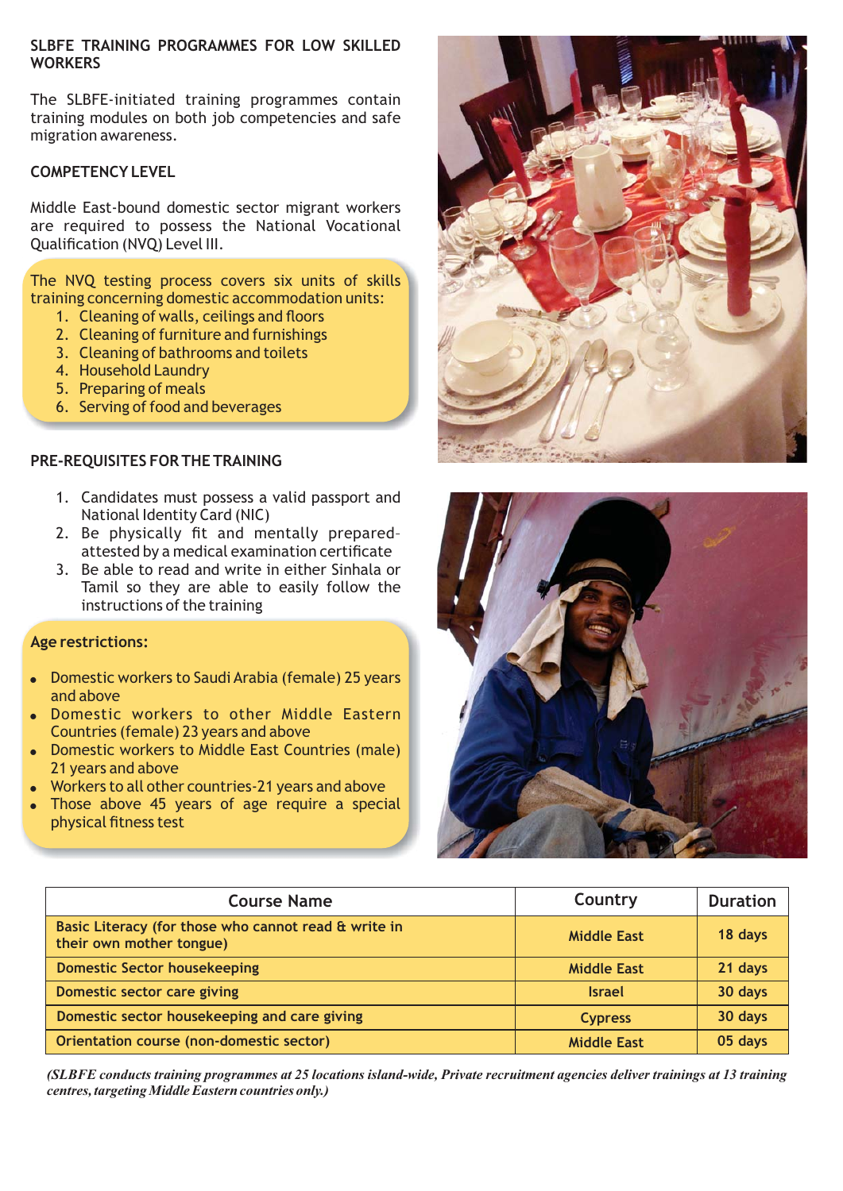## SLBFE TRAINING PROGRAMMES FOR LOW SKILLED **WORKERS**

The SLBFE-initiated training programmes contain training modules on both job competencies and safe migration awareness.

## **COMPETENCY LEVEL**

Middle East-bound domestic sector migrant workers are required to possess the National Vocational **Oualification (NVO) Level III.** 

The NVQ testing process covers six units of skills training concerning domestic accommodation units:

- 1. Cleaning of walls, ceilings and floors
- 2. Cleaning of furniture and furnishings
- 3. Cleaning of bathrooms and toilets
- 4. Household Laundry
- 5. Preparing of meals
- 6. Serving of food and beverages

## PRE-REQUISITES FOR THE TRAINING

- 1. Candidates must possess a valid passport and National Identity Card (NIC)
- 2. Be physically fit and mentally preparedattested by a medical examination certificate
- 3. Be able to read and write in either Sinhala or Tamil so they are able to easily follow the instructions of the training

## **Age restrictions:**

- Domestic workers to Saudi Arabia (female) 25 years and above
- Domestic workers to other Middle Eastern Countries (female) 23 years and above
- Domestic workers to Middle East Countries (male) 21 years and above
- Workers to all other countries-21 years and above
- Those above 45 years of age require a special physical fitness test





| <b>Course Name</b>                                                               | Country            | <b>Duration</b> |
|----------------------------------------------------------------------------------|--------------------|-----------------|
| Basic Literacy (for those who cannot read & write in<br>their own mother tongue) | <b>Middle East</b> | 18 days         |
| <b>Domestic Sector housekeeping</b>                                              | <b>Middle East</b> | 21 days         |
| Domestic sector care giving                                                      | <b>Israel</b>      | 30 days         |
| Domestic sector housekeeping and care giving                                     | <b>Cypress</b>     | 30 days         |
| Orientation course (non-domestic sector)                                         | <b>Middle East</b> | 05 days         |

(SLBFE conducts training programmes at 25 locations island-wide, Private recruitment agencies deliver trainings at 13 training centres, targeting Middle Eastern countries only.)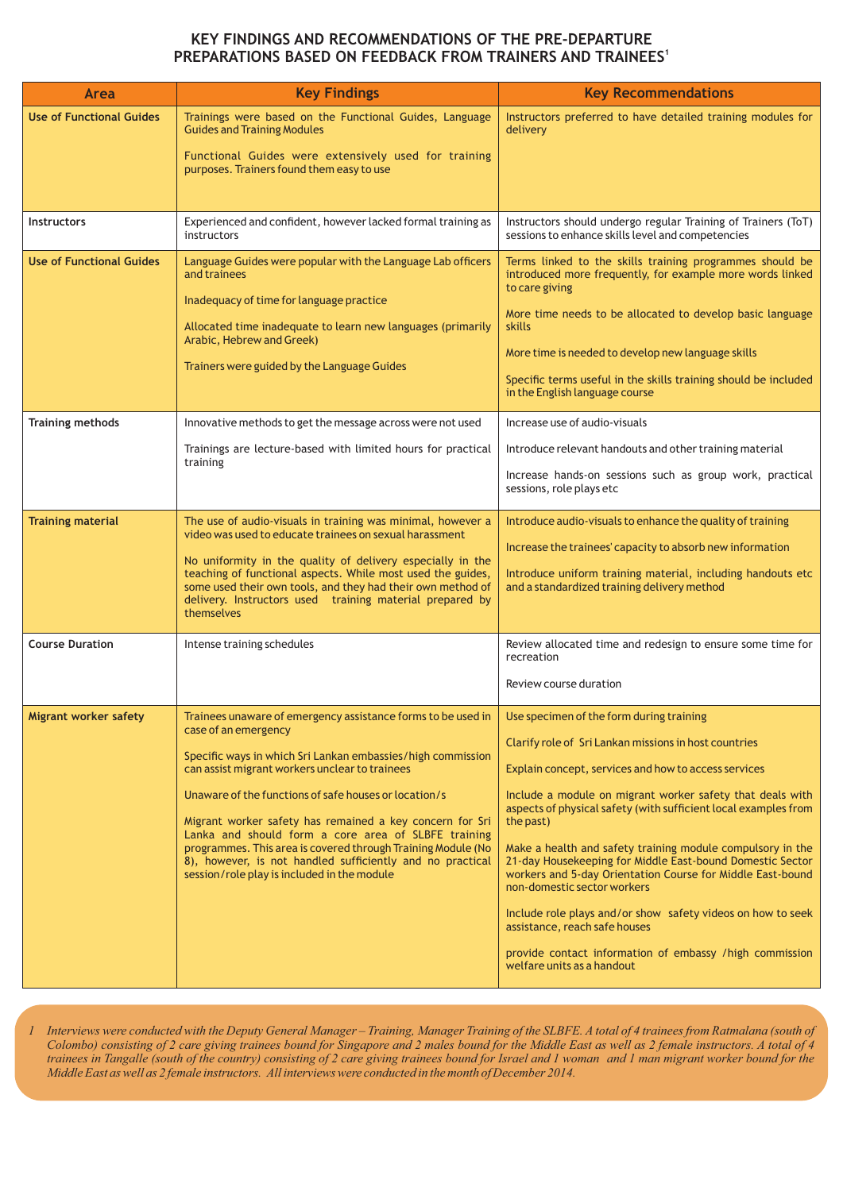## KEY FINDINGS AND RECOMMENDATIONS OF THE PRE-DEPARTURE PREPARATIONS BASED ON FEEDBACK FROM TRAINERS AND TRAINEES<sup>1</sup>

| Area                            | <b>Key Findings</b>                                                                                                                                                                                                                                                                                                                                                                                                                                                                                                                                           | <b>Key Recommendations</b>                                                                                                                                                                                                                                                                                                                                                                                                                                                                                                                                                                                                                                                                                              |
|---------------------------------|---------------------------------------------------------------------------------------------------------------------------------------------------------------------------------------------------------------------------------------------------------------------------------------------------------------------------------------------------------------------------------------------------------------------------------------------------------------------------------------------------------------------------------------------------------------|-------------------------------------------------------------------------------------------------------------------------------------------------------------------------------------------------------------------------------------------------------------------------------------------------------------------------------------------------------------------------------------------------------------------------------------------------------------------------------------------------------------------------------------------------------------------------------------------------------------------------------------------------------------------------------------------------------------------------|
| <b>Use of Functional Guides</b> | Trainings were based on the Functional Guides, Language<br><b>Guides and Training Modules</b><br>Functional Guides were extensively used for training<br>purposes. Trainers found them easy to use                                                                                                                                                                                                                                                                                                                                                            | Instructors preferred to have detailed training modules for<br>delivery                                                                                                                                                                                                                                                                                                                                                                                                                                                                                                                                                                                                                                                 |
| <b>Instructors</b>              | Experienced and confident, however lacked formal training as<br>instructors                                                                                                                                                                                                                                                                                                                                                                                                                                                                                   | Instructors should undergo regular Training of Trainers (ToT)<br>sessions to enhance skills level and competencies                                                                                                                                                                                                                                                                                                                                                                                                                                                                                                                                                                                                      |
| <b>Use of Functional Guides</b> | Language Guides were popular with the Language Lab officers<br>and trainees<br>Inadequacy of time for language practice<br>Allocated time inadequate to learn new languages (primarily<br>Arabic, Hebrew and Greek)<br>Trainers were guided by the Language Guides                                                                                                                                                                                                                                                                                            | Terms linked to the skills training programmes should be<br>introduced more frequently, for example more words linked<br>to care giving<br>More time needs to be allocated to develop basic language<br>skills<br>More time is needed to develop new language skills<br>Specific terms useful in the skills training should be included<br>in the English language course                                                                                                                                                                                                                                                                                                                                               |
| <b>Training methods</b>         | Innovative methods to get the message across were not used<br>Trainings are lecture-based with limited hours for practical<br>training                                                                                                                                                                                                                                                                                                                                                                                                                        | Increase use of audio-visuals<br>Introduce relevant handouts and other training material<br>Increase hands-on sessions such as group work, practical<br>sessions, role plays etc                                                                                                                                                                                                                                                                                                                                                                                                                                                                                                                                        |
| <b>Training material</b>        | The use of audio-visuals in training was minimal, however a<br>video was used to educate trainees on sexual harassment<br>No uniformity in the quality of delivery especially in the<br>teaching of functional aspects. While most used the guides,<br>some used their own tools, and they had their own method of<br>delivery. Instructors used training material prepared by<br>themselves                                                                                                                                                                  | Introduce audio-visuals to enhance the quality of training<br>Increase the trainees' capacity to absorb new information<br>Introduce uniform training material, including handouts etc<br>and a standardized training delivery method                                                                                                                                                                                                                                                                                                                                                                                                                                                                                   |
| <b>Course Duration</b>          | Intense training schedules                                                                                                                                                                                                                                                                                                                                                                                                                                                                                                                                    | Review allocated time and redesign to ensure some time for<br>recreation<br>Review course duration                                                                                                                                                                                                                                                                                                                                                                                                                                                                                                                                                                                                                      |
| Migrant worker safety           | Trainees unaware of emergency assistance forms to be used in<br>case of an emergency<br>Specific ways in which Sri Lankan embassies/high commission<br>can assist migrant workers unclear to trainees<br>Unaware of the functions of safe houses or location/s<br>Migrant worker safety has remained a key concern for Sri<br>Lanka and should form a core area of SLBFE training<br>programmes. This area is covered through Training Module (No<br>8), however, is not handled sufficiently and no practical<br>session/role play is included in the module | Use specimen of the form during training<br>Clarify role of Sri Lankan missions in host countries<br>Explain concept, services and how to access services<br>Include a module on migrant worker safety that deals with<br>aspects of physical safety (with sufficient local examples from<br>the past)<br>Make a health and safety training module compulsory in the<br>21-day Housekeeping for Middle East-bound Domestic Sector<br>workers and 5-day Orientation Course for Middle East-bound<br>non-domestic sector workers<br>Include role plays and/or show safety videos on how to seek<br>assistance, reach safe houses<br>provide contact information of embassy /high commission<br>welfare units as a handout |

Interviews were conducted with the Deputy General Manager – Training, Manager Training of the SLBFE. A total of 4 trainees from Ratmalana (south of Colombo) consisting of 2 care giving trainees bound for Singapore and 2 ma Middle East as well as 2 female instructors. All interviews were conducted in the month of December 2014.

 $\overline{l}$